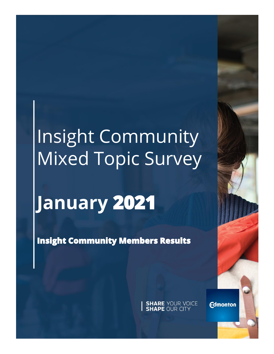# Insight Community Mixed Topic Survey

# **January**

**Insight Community Members Results** 

**SHARE YOUR VOICE**<br>**SHAPE OUR CITY** 

**Edmonton**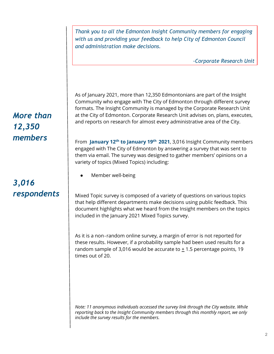*Thank you to all the Edmonton Insight Community members for engaging with us and providing your feedback to help City of Edmonton Council and administration make decisions.* 

*-Corporate Research Unit*

As of January 2021, more than 12,350 Edmontonians are part of the Insight Community who engage with The City of Edmonton through different survey formats. The Insight Community is managed by the Corporate Research Unit at the City of Edmonton. Corporate Research Unit advises on, plans, executes, and reports on research for almost every administrative area of the City.

From **January 12th to January 19th 2021**, 3,016 Insight Community members engaged with The City of Edmonton by answering a survey that was sent to them via email. The survey was designed to gather members' opinions on a variety of topics (Mixed Topics) including:

Member well-being

Mixed Topic survey is composed of a variety of questions on various topics that help different departments make decisions using public feedback. This document highlights what we heard from the Insight members on the topics included in the January 2021 Mixed Topics survey.

As it is a non‐random online survey, a margin of error is not reported for these results. However, if a probability sample had been used results for a random sample of 3,016 would be accurate to  $\pm$  1.5 percentage points, 19 times out of 20.

*Note: 11 anonymous individuals accessed the survey link through the City website. While reporting back to the Insight Community members through this monthly report, we only include the survey results for the members.*

## *More than 12,350 members*

## *3,016 respondents*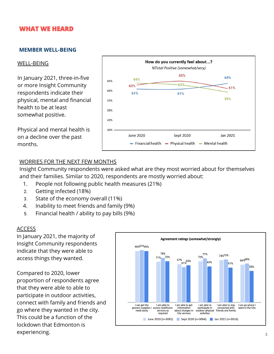### **WHAT WE HEARD**

#### **MEMBER WELL-BEING**

#### WELL-BEING

In January 2021, three-in-five or more Insight Community respondents indicate their physical, mental and financial health to be at least somewhat positive.

Physical and mental health is on a decline over the past months.



#### WORRIES FOR THE NEXT FEW MONTHS

Insight Community respondents were asked what are they most worried about for themselves and their families. Similar to 2020, respondents are mostly worried about:

- 1. People not following public health measures (21%)
- 2. Getting infected (18%)
- 3. State of the economy overall (11%)
- 4. Inability to meet friends and family (9%)
- 5. Financial health / ability to pay bills (9%)

#### ACCESS

In January 2021, the majority of Insight Community respondents indicate that they were able to access things they wanted.

Compared to 2020, lower proportion of respondents agree that they were able to able to participate in outdoor activities, connect with family and friends and go where they wanted in the city. This could be a function of the lockdown that Edmonton is experiencing.

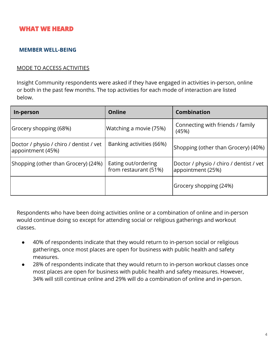### **WHAT WE HEARD**

#### **MEMBER WELL-BEING**

#### MODE TO ACCESS ACTIVITIES

Insight Community respondents were asked if they have engaged in activities in-person, online or both in the past few months. The top activities for each mode of interaction are listed below.

| In-person                                                    | <b>Online</b>                                | <b>Combination</b>                                           |
|--------------------------------------------------------------|----------------------------------------------|--------------------------------------------------------------|
| Grocery shopping (68%)                                       | Watching a movie (75%)                       | Connecting with friends / family<br>(45%)                    |
| Doctor / physio / chiro / dentist / vet<br>appointment (45%) | Banking activities (66%)                     | Shopping (other than Grocery) (40%)                          |
| (Shopping (other than Grocery) (24%)                         | Eating out/ordering<br>from restaurant (51%) | Doctor / physio / chiro / dentist / vet<br>appointment (25%) |
|                                                              |                                              | Grocery shopping (24%)                                       |

Respondents who have been doing activities online or a combination of online and in-person would continue doing so except for attending social or religious gatherings and workout classes.

- 40% of respondents indicate that they would return to in-person social or religious gatherings, once most places are open for business with public health and safety measures.
- 28% of respondents indicate that they would return to in-person workout classes once most places are open for business with public health and safety measures. However, 34% will still continue online and 29% will do a combination of online and in-person.